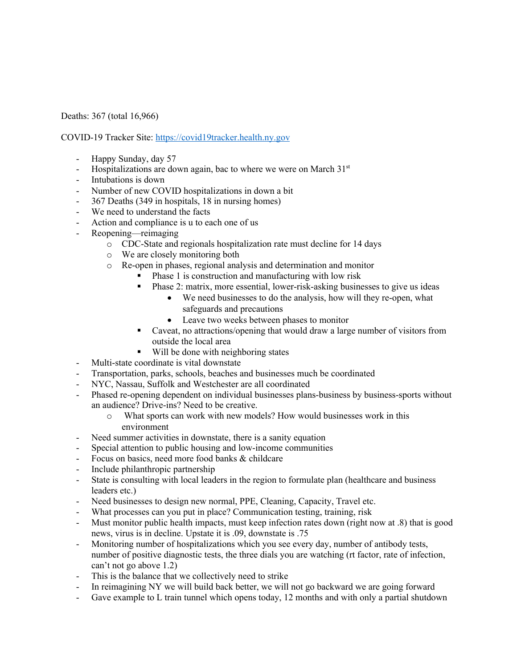Deaths: 367 (total 16,966)

COVID-19 Tracker Site: https://covid19tracker.health.ny.gov

- Happy Sunday, day 57
- Hospitalizations are down again, bac to where we were on March  $31<sup>st</sup>$
- Intubations is down
- Number of new COVID hospitalizations in down a bit
- 367 Deaths (349 in hospitals, 18 in nursing homes)
- We need to understand the facts
- Action and compliance is u to each one of us
- Reopening—reimaging
	- o CDC-State and regionals hospitalization rate must decline for 14 days
	- o We are closely monitoring both
	- o Re-open in phases, regional analysis and determination and monitor
		- Phase 1 is construction and manufacturing with low risk
		- § Phase 2: matrix, more essential, lower-risk-asking businesses to give us ideas
			- We need businesses to do the analysis, how will they re-open, what safeguards and precautions
			- Leave two weeks between phases to monitor
		- Caveat, no attractions/opening that would draw a large number of visitors from outside the local area
		- Will be done with neighboring states
- Multi-state coordinate is vital downstate
- Transportation, parks, schools, beaches and businesses much be coordinated
- NYC, Nassau, Suffolk and Westchester are all coordinated
- Phased re-opening dependent on individual businesses plans-business by business-sports without an audience? Drive-ins? Need to be creative.
	- o What sports can work with new models? How would businesses work in this environment
- Need summer activities in downstate, there is a sanity equation
- Special attention to public housing and low-income communities
- Focus on basics, need more food banks & childcare
- Include philanthropic partnership
- State is consulting with local leaders in the region to formulate plan (healthcare and business leaders etc.)
- Need businesses to design new normal, PPE, Cleaning, Capacity, Travel etc.
- What processes can you put in place? Communication testing, training, risk
- Must monitor public health impacts, must keep infection rates down (right now at .8) that is good news, virus is in decline. Upstate it is .09, downstate is .75
- Monitoring number of hospitalizations which you see every day, number of antibody tests, number of positive diagnostic tests, the three dials you are watching (rt factor, rate of infection, can't not go above 1.2)
- This is the balance that we collectively need to strike
- In reimagining NY we will build back better, we will not go backward we are going forward
- Gave example to L train tunnel which opens today, 12 months and with only a partial shutdown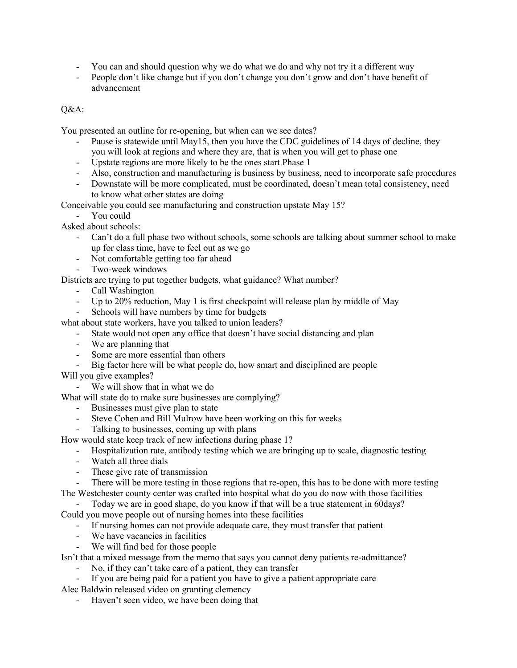- You can and should question why we do what we do and why not try it a different way
- People don't like change but if you don't change you don't grow and don't have benefit of advancement

## Q&A:

You presented an outline for re-opening, but when can we see dates?

- Pause is statewide until May15, then you have the CDC guidelines of 14 days of decline, they you will look at regions and where they are, that is when you will get to phase one
- Upstate regions are more likely to be the ones start Phase 1
- Also, construction and manufacturing is business by business, need to incorporate safe procedures
- Downstate will be more complicated, must be coordinated, doesn't mean total consistency, need to know what other states are doing

Conceivable you could see manufacturing and construction upstate May 15?

- You could

Asked about schools:

- Can't do a full phase two without schools, some schools are talking about summer school to make up for class time, have to feel out as we go
- Not comfortable getting too far ahead
- Two-week windows

Districts are trying to put together budgets, what guidance? What number?

- Call Washington
- Up to 20% reduction, May 1 is first checkpoint will release plan by middle of May
- Schools will have numbers by time for budgets

what about state workers, have you talked to union leaders?

- State would not open any office that doesn't have social distancing and plan
- We are planning that
- Some are more essential than others
- Big factor here will be what people do, how smart and disciplined are people

Will you give examples?

- We will show that in what we do

What will state do to make sure businesses are complying?

- Businesses must give plan to state
- Steve Cohen and Bill Mulrow have been working on this for weeks
- Talking to businesses, coming up with plans
- How would state keep track of new infections during phase 1?
	- Hospitalization rate, antibody testing which we are bringing up to scale, diagnostic testing
	- Watch all three dials
	- These give rate of transmission

- There will be more testing in those regions that re-open, this has to be done with more testing The Westchester county center was crafted into hospital what do you do now with those facilities

Today we are in good shape, do you know if that will be a true statement in 60days? Could you move people out of nursing homes into these facilities

- If nursing homes can not provide adequate care, they must transfer that patient

- We have vacancies in facilities
- We will find bed for those people

Isn't that a mixed message from the memo that says you cannot deny patients re-admittance?

- No, if they can't take care of a patient, they can transfer
- If you are being paid for a patient you have to give a patient appropriate care Alec Baldwin released video on granting clemency
	- Haven't seen video, we have been doing that